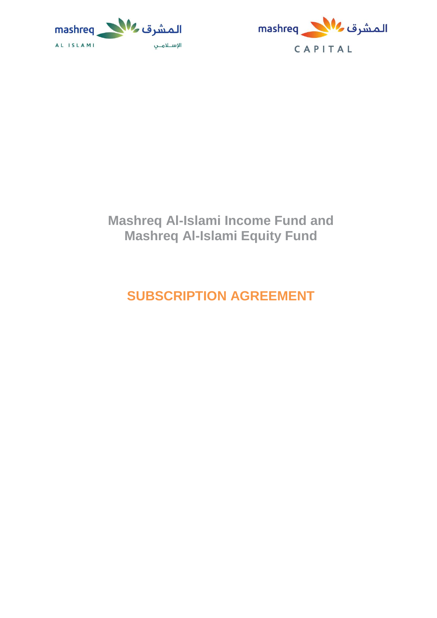



# **Mashreq Al-Islami Income Fund and Mashreq Al-Islami Equity Fund**

# **SUBSCRIPTION AGREEMENT**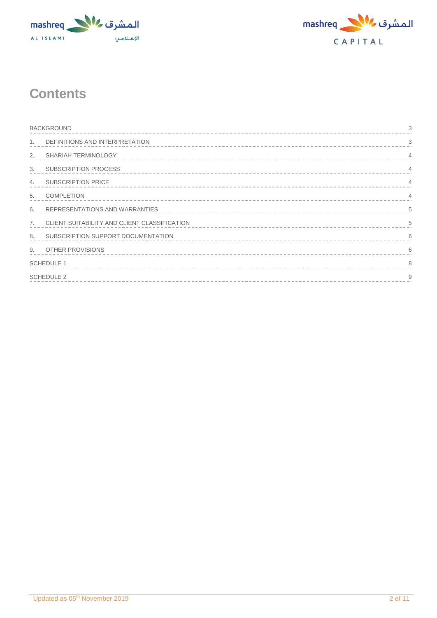



# **Contents**

|                | <b>BACKGROUND</b><br>3                       |                |  |  |  |
|----------------|----------------------------------------------|----------------|--|--|--|
| $\mathbf{1}$ . | DEFINITIONS AND INTERPRETATION               | 3              |  |  |  |
| 2.             | SHARIAH TERMINOLOGY                          | $\overline{4}$ |  |  |  |
| 3.             | <b>SUBSCRIPTION PROCESS</b>                  | $\overline{4}$ |  |  |  |
| 4.             | <b>SUBSCRIPTION PRICE</b>                    | $\overline{4}$ |  |  |  |
| 5.             | <b>COMPLETION</b>                            | $\overline{4}$ |  |  |  |
| 6.             | REPRESENTATIONS AND WARRANTIES               | 5              |  |  |  |
| 7.             | CLIENT SUITABILITY AND CLIENT CLASSIFICATION | 5              |  |  |  |
| 8.             | SUBSCRIPTION SUPPORT DOCUMENTATION           | 6              |  |  |  |
| 9 <sub>1</sub> | <b>OTHER PROVISIONS</b>                      | 6              |  |  |  |
|                | <b>SCHEDULE 1</b>                            |                |  |  |  |
|                | <b>SCHEDULE 2</b><br>9                       |                |  |  |  |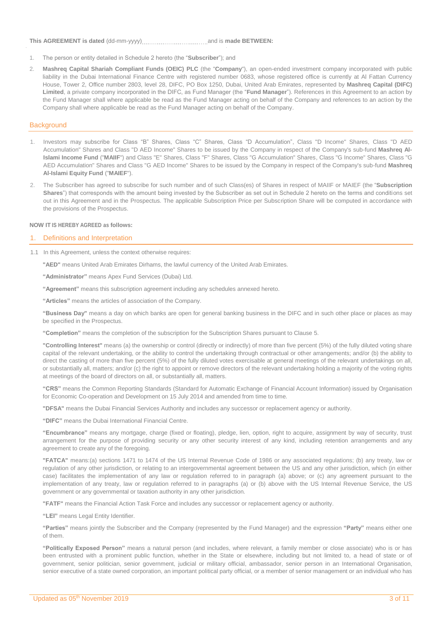#### **This AGREEMENT is dated** (dd-mm-yyyy) and is **made BETWEEN:**

- 1. The person or entity detailed in Schedule 2 hereto (the "**Subscriber**"); and
- 2. **Mashreq Capital Shariah Compliant Funds (OEIC) PLC** (the "**Company**"), an open-ended investment company incorporated with public liability in the Dubai International Finance Centre with registered number 0683, whose registered office is currently at Al Fattan Currency House, Tower 2, Office number 2803, level 28, DIFC, PO Box 1250, Dubai, United Arab Emirates, represented by **Mashreq Capital (DIFC) Limited**, a private company incorporated in the DIFC, as Fund Manager (the "**Fund Manager**"). References in this Agreement to an action by the Fund Manager shall where applicable be read as the Fund Manager acting on behalf of the Company and references to an action by the Company shall where applicable be read as the Fund Manager acting on behalf of the Company.

### <span id="page-2-0"></span>**Background**

- 1. Investors may subscribe for Class "B" Shares, Class "C" Shares, Class "D Accumulation", Class "D Income" Shares, Class "D AED Accumulation" Shares and Class "D AED Income" Shares to be issued by the Company in respect of the Company's sub-fund **Mashreq Al-Islami Income Fund** ("**MAIIF**") and Class "E" Shares, Class "F" Shares, Class "G Accumulation" Shares, Class "G Income" Shares, Class "G AED Accumulation" Shares and Class "G AED Income" Shares to be issued by the Company in respect of the Company's sub-fund **Mashreq Al-Islami Equity Fund** ("**MAIEF**").
- 2. The Subscriber has agreed to subscribe for such number and of such Class(es) of Shares in respect of MAIIF or MAIEF (the "**Subscription Shares**") that corresponds with the amount being invested by the Subscriber as set out in Schedule 2 hereto on the terms and conditions set out in this Agreement and in the Prospectus. The applicable Subscription Price per Subscription Share will be computed in accordance with the provisions of the Prospectus.

#### **NOW IT IS HEREBY AGREED as follows:**

### <span id="page-2-1"></span>1. Definitions and Interpretation

- 1.1 In this Agreement, unless the context otherwise requires:
	- **"AED"** means United Arab Emirates Dirhams, the lawful currency of the United Arab Emirates.

**"Administrator"** means Apex Fund Services (Dubai) Ltd.

**"Agreement"** means this subscription agreement including any schedules annexed hereto.

**"Articles"** means the articles of association of the Company.

**"Business Day"** means a day on which banks are open for general banking business in the DIFC and in such other place or places as may be specified in the Prospectus.

**"Completion"** means the completion of the subscription for the Subscription Shares pursuant to Clause 5.

**"Controlling Interest"** means (a) the ownership or control (directly or indirectly) of more than five percent (5%) of the fully diluted voting share capital of the relevant undertaking, or the ability to control the undertaking through contractual or other arrangements; and/or (b) the ability to direct the casting of more than five percent (5%) of the fully diluted votes exercisable at general meetings of the relevant undertakings on all, or substantially all, matters; and/or (c) the right to appoint or remove directors of the relevant undertaking holding a majority of the voting rights at meetings of the board of directors on all, or substantially all, matters.

**"CRS"** means the Common Reporting Standards (Standard for Automatic Exchange of Financial Account Information) issued by Organisation for Economic Co-operation and Development on 15 July 2014 and amended from time to time.

**"DFSA"** means the Dubai Financial Services Authority and includes any successor or replacement agency or authority.

**"DIFC"** means the Dubai International Financial Centre.

**"Encumbrance"** means any mortgage, charge (fixed or floating), pledge, lien, option, right to acquire, assignment by way of security, trust arrangement for the purpose of providing security or any other security interest of any kind, including retention arrangements and any agreement to create any of the foregoing.

**"FATCA"** means:(a) sections 1471 to 1474 of the US Internal Revenue Code of 1986 or any associated regulations; (b) any treaty, law or regulation of any other jurisdiction, or relating to an intergovernmental agreement between the US and any other jurisdiction, which (in either case) facilitates the implementation of any law or regulation referred to in paragraph (a) above; or (c) any agreement pursuant to the implementation of any treaty, law or regulation referred to in paragraphs (a) or (b) above with the US Internal Revenue Service, the US government or any governmental or taxation authority in any other jurisdiction.

**"FATF"** means the Financial Action Task Force and includes any successor or replacement agency or authority.

**"LEI"** means Legal Entity Identifier.

**"Parties"** means jointly the Subscriber and the Company (represented by the Fund Manager) and the expression **"Party"** means either one of them.

**"Politically Exposed Person"** means a natural person (and includes, where relevant, a family member or close associate) who is or has been entrusted with a prominent public function, whether in the State or elsewhere, including but not limited to, a head of state or of government, senior politician, senior government, judicial or military official, ambassador, senior person in an International Organisation, senior executive of a state owned corporation, an important political party official, or a member of senior management or an individual who has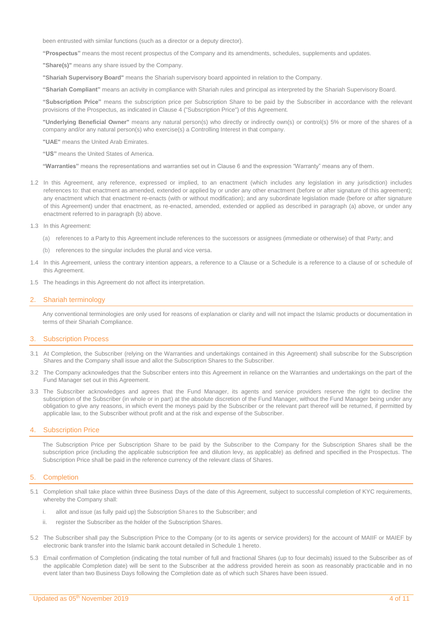been entrusted with similar functions (such as a director or a deputy director).

**"Prospectus"** means the most recent prospectus of the Company and its amendments, schedules, supplements and updates.

**"Share(s)"** means any share issued by the Company.

**"Shariah Supervisory Board"** means the Shariah supervisory board appointed in relation to the Company.

**"Shariah Compliant"** means an activity in compliance with Shariah rules and principal as interpreted by the Shariah Supervisory Board.

**"Subscription Price"** means the subscription price per Subscription Share to be paid by the Subscriber in accordance with the relevant provisions of the Prospectus, as indicated in Clause 4 ("Subscription Price") of this Agreement.

**"Underlying Beneficial Owner"** means any natural person(s) who directly or indirectly own(s) or control(s) 5% or more of the shares of a company and/or any natural person(s) who exercise(s) a Controlling Interest in that company.

**"UAE"** means the United Arab Emirates.

**"US"** means the United States of America.

**"Warranties"** means the representations and warranties set out in Clause 6 and the expression "Warranty" means any of them.

- 1.2 In this Agreement, any reference, expressed or implied, to an enactment (which includes any legislation in any jurisdiction) includes references to: that enactment as amended, extended or applied by or under any other enactment (before or after signature of this agreement); any enactment which that enactment re-enacts (with or without modification); and any subordinate legislation made (before or after signature of this Agreement) under that enactment, as re-enacted, amended, extended or applied as described in paragraph (a) above, or under any enactment referred to in paragraph (b) above.
- 1.3 In this Agreement:
	- (a) references to a Party to this Agreement include references to the successors or assignees (immediate or otherwise) of that Party; and
	- (b) references to the singular includes the plural and vice versa.
- 1.4 In this Agreement, unless the contrary intention appears, a reference to a Clause or a Schedule is a reference to a clause of or schedule of this Agreement.
- 1.5 The headings in this Agreement do not affect its interpretation.

#### <span id="page-3-0"></span>2. Shariah terminology

Any conventional terminologies are only used for reasons of explanation or clarity and will not impact the Islamic products or documentation in terms of their Shariah Compliance.

#### <span id="page-3-1"></span>3. Subscription Process

- 3.1 At Completion, the Subscriber (relying on the Warranties and undertakings contained in this Agreement) shall subscribe for the Subscription Shares and the Company shall issue and allot the Subscription Shares to the Subscriber.
- 3.2 The Company acknowledges that the Subscriber enters into this Agreement in reliance on the Warranties and undertakings on the part of the Fund Manager set out in this Agreement.
- 3.3 The Subscriber acknowledges and agrees that the Fund Manager, its agents and service providers reserve the right to decline the subscription of the Subscriber (in whole or in part) at the absolute discretion of the Fund Manager, without the Fund Manager being under any obligation to give any reasons, in which event the moneys paid by the Subscriber or the relevant part thereof will be returned, if permitted by applicable law, to the Subscriber without profit and at the risk and expense of the Subscriber.

#### <span id="page-3-2"></span>4. Subscription Price

The Subscription Price per Subscription Share to be paid by the Subscriber to the Company for the Subscription Shares shall be the subscription price (including the applicable subscription fee and dilution levy, as applicable) as defined and specified in the Prospectus. The Subscription Price shall be paid in the reference currency of the relevant class of Shares.

### <span id="page-3-3"></span>5. Completion

- 5.1 Completion shall take place within three Business Days of the date of this Agreement, subject to successful completion of KYC requirements, whereby the Company shall:
	- i. allot and issue (as fully paid up) the Subscription Shares to the Subscriber; and
	- ii. register the Subscriber as the holder of the Subscription Shares.
- 5.2 The Subscriber shall pay the Subscription Price to the Company (or to its agents or service providers) for the account of MAIIF or MAIEF by electronic bank transfer into the Islamic bank account detailed in Schedule 1 hereto.
- 5.3 Email confirmation of Completion (indicating the total number of full and fractional Shares (up to four decimals) issued to the Subscriber as of the applicable Completion date) will be sent to the Subscriber at the address provided herein as soon as reasonably practicable and in no event later than two Business Days following the Completion date as of which such Shares have been issued.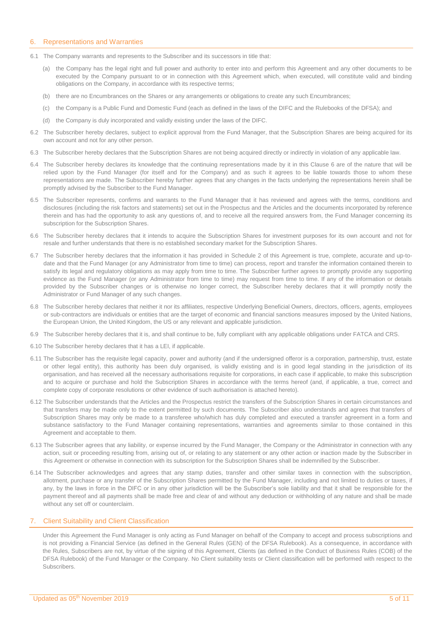#### <span id="page-4-0"></span>6. Representations and Warranties

- 6.1 The Company warrants and represents to the Subscriber and its successors in title that:
	- (a) the Company has the legal right and full power and authority to enter into and perform this Agreement and any other documents to be executed by the Company pursuant to or in connection with this Agreement which, when executed, will constitute valid and binding obligations on the Company, in accordance with its respective terms;
	- (b) there are no Encumbrances on the Shares or any arrangements or obligations to create any such Encumbrances;
	- (c) the Company is a Public Fund and Domestic Fund (each as defined in the laws of the DIFC and the Rulebooks of the DFSA); and
	- (d) the Company is duly incorporated and validly existing under the laws of the DIFC.
- 6.2 The Subscriber hereby declares, subject to explicit approval from the Fund Manager, that the Subscription Shares are being acquired for its own account and not for any other person.
- 6.3 The Subscriber hereby declares that the Subscription Shares are not being acquired directly or indirectly in violation of any applicable law.
- 6.4 The Subscriber hereby declares its knowledge that the continuing representations made by it in this Clause 6 are of the nature that will be relied upon by the Fund Manager (for itself and for the Company) and as such it agrees to be liable towards those to whom these representations are made. The Subscriber hereby further agrees that any changes in the facts underlying the representations herein shall be promptly advised by the Subscriber to the Fund Manager.
- 6.5 The Subscriber represents, confirms and warrants to the Fund Manager that it has reviewed and agrees with the terms, conditions and disclosures (including the risk factors and statements) set out in the Prospectus and the Articles and the documents incorporated by reference therein and has had the opportunity to ask any questions of, and to receive all the required answers from, the Fund Manager concerning its subscription for the Subscription Shares.
- 6.6 The Subscriber hereby declares that it intends to acquire the Subscription Shares for investment purposes for its own account and not for resale and further understands that there is no established secondary market for the Subscription Shares.
- 6.7 The Subscriber hereby declares that the information it has provided in Schedule 2 of this Agreement is true, complete, accurate and up-todate and that the Fund Manager (or any Administrator from time to time) can process, report and transfer the information contained therein to satisfy its legal and regulatory obligations as may apply from time to time. The Subscriber further agrees to promptly provide any supporting evidence as the Fund Manager (or any Administrator from time to time) may request from time to time. If any of the information or details provided by the Subscriber changes or is otherwise no longer correct, the Subscriber hereby declares that it will promptly notify the Administrator or Fund Manager of any such changes.
- 6.8 The Subscriber hereby declares that neither it nor its affiliates, respective Underlying Beneficial Owners, directors, officers, agents, employees or sub-contractors are individuals or entities that are the target of economic and financial sanctions measures imposed by the United Nations, the European Union, the United Kingdom, the US or any relevant and applicable jurisdiction.
- 6.9 The Subscriber hereby declares that it is, and shall continue to be, fully compliant with any applicable obligations under FATCA and CRS.
- 6.10 The Subscriber hereby declares that it has a LEI, if applicable.
- 6.11 The Subscriber has the requisite legal capacity, power and authority (and if the undersigned offeror is a corporation, partnership, trust, estate or other legal entity), this authority has been duly organised, is validly existing and is in good legal standing in the jurisdiction of its organisation, and has received all the necessary authorisations requisite for corporations, in each case if applicable, to make this subscription and to acquire or purchase and hold the Subscription Shares in accordance with the terms hereof (and, if applicable, a true, correct and complete copy of corporate resolutions or other evidence of such authorisation is attached hereto).
- 6.12 The Subscriber understands that the Articles and the Prospectus restrict the transfers of the Subscription Shares in certain circumstances and that transfers may be made only to the extent permitted by such documents. The Subscriber also understands and agrees that transfers of Subscription Shares may only be made to a transferee who/which has duly completed and executed a transfer agreement in a form and substance satisfactory to the Fund Manager containing representations, warranties and agreements similar to those contained in this Agreement and acceptable to them.
- 6.13 The Subscriber agrees that any liability, or expense incurred by the Fund Manager, the Company or the Administrator in connection with any action, suit or proceeding resulting from, arising out of, or relating to any statement or any other action or inaction made by the Subscriber in this Agreement or otherwise in connection with its subscription for the Subscription Shares shall be indemnified by the Subscriber.
- 6.14 The Subscriber acknowledges and agrees that any stamp duties, transfer and other similar taxes in connection with the subscription, allotment, purchase or any transfer of the Subscription Shares permitted by the Fund Manager, including and not limited to duties or taxes, if any, by the laws in force in the DIFC or in any other jurisdiction will be the Subscriber's sole liability and that it shall be responsible for the payment thereof and all payments shall be made free and clear of and without any deduction or withholding of any nature and shall be made without any set off or counterclaim.

#### <span id="page-4-1"></span>**Client Suitability and Client Classification**

Under this Agreement the Fund Manager is only acting as Fund Manager on behalf of the Company to accept and process subscriptions and is not providing a Financial Service (as defined in the General Rules (GEN) of the DFSA Rulebook). As a consequence, in accordance with the Rules, Subscribers are not, by virtue of the signing of this Agreement, Clients (as defined in the Conduct of Business Rules (COB) of the DFSA Rulebook) of the Fund Manager or the Company. No Client suitability tests or Client classification will be performed with respect to the Subscribers.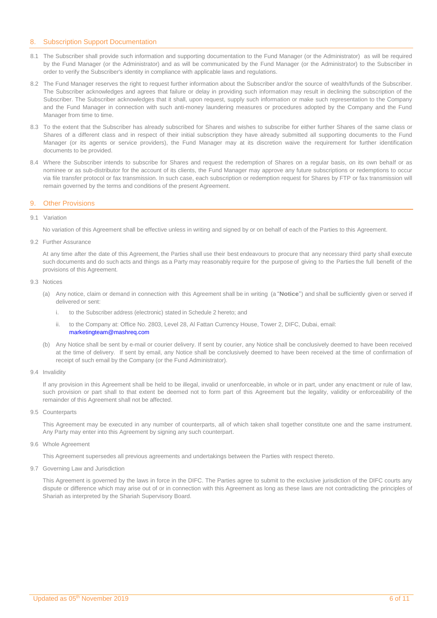## <span id="page-5-1"></span>8. Subscription Support Documentation

- 8.1 The Subscriber shall provide such information and supporting documentation to the Fund Manager (or the Administrator) as will be required by the Fund Manager (or the Administrator) and as will be communicated by the Fund Manager (or the Administrator) to the Subscriber in order to verify the Subscriber's identity in compliance with applicable laws and regulations.
- 8.2 The Fund Manager reserves the right to request further information about the Subscriber and/or the source of wealth/funds of the Subscriber. The Subscriber acknowledges and agrees that failure or delay in providing such information may result in declining the subscription of the Subscriber. The Subscriber acknowledges that it shall, upon request, supply such information or make such representation to the Company and the Fund Manager in connection with such anti-money laundering measures or procedures adopted by the Company and the Fund Manager from time to time.
- 8.3 To the extent that the Subscriber has already subscribed for Shares and wishes to subscribe for either further Shares of the same class or Shares of a different class and in respect of their initial subscription they have already submitted all supporting documents to the Fund Manager (or its agents or service providers), the Fund Manager may at its discretion waive the requirement for further identification documents to be provided.
- 8.4 Where the Subscriber intends to subscribe for Shares and request the redemption of Shares on a regular basis, on its own behalf or as nominee or as sub-distributor for the account of its clients, the Fund Manager may approve any future subscriptions or redemptions to occur via file transfer protocol or fax transmission. In such case, each subscription or redemption request for Shares by FTP or fax transmission will remain governed by the terms and conditions of the present Agreement.

### <span id="page-5-0"></span>9. Other Provisions

#### 9.1 Variation

No variation of this Agreement shall be effective unless in writing and signed by or on behalf of each of the Parties to this Agreement.

9.2 Further Assurance

At any time after the date of this Agreement, the Parties shall use their best endeavours to procure that any necessary third party shall execute such documents and do such acts and things as a Party may reasonably require for the purpose of giving to the Parties the full benefit of the provisions of this Agreement.

9.3 Notices

- (a) Any notice, claim or demand in connection with this Agreement shall be in writing (a "**Notice**") and shall be sufficiently given or served if delivered or sent:
	- to the Subscriber address (electronic) stated in Schedule 2 hereto; and
	- ii. to the Company at: Office No. 2803, Level 28, Al Fattan Currency House, Tower 2, DIFC, Dubai, email:
		- [marketingteam@mashreq.com](mailto:marketingteam@mashreq.com)
- (b) Any Notice shall be sent by e-mail or courier delivery. If sent by courier, any Notice shall be conclusively deemed to have been received at the time of delivery. If sent by email, any Notice shall be conclusively deemed to have been received at the time of confirmation of receipt of such email by the Company (or the Fund Administrator).
- 9.4 Invalidity

If any provision in this Agreement shall be held to be illegal, invalid or unenforceable, in whole or in part, under any enactment or rule of law, such provision or part shall to that extent be deemed not to form part of this Agreement but the legality, validity or enforceability of the remainder of this Agreement shall not be affected.

9.5 Counterparts

This Agreement may be executed in any number of counterparts, all of which taken shall together constitute one and the same instrument. Any Party may enter into this Agreement by signing any such counterpart.

9.6 Whole Agreement

This Agreement supersedes all previous agreements and undertakings between the Parties with respect thereto.

9.7 Governing Law and Jurisdiction

This Agreement is governed by the laws in force in the DIFC. The Parties agree to submit to the exclusive jurisdiction of the DIFC courts any dispute or difference which may arise out of or in connection with this Agreement as long as these laws are not contradicting the principles of Shariah as interpreted by the Shariah Supervisory Board.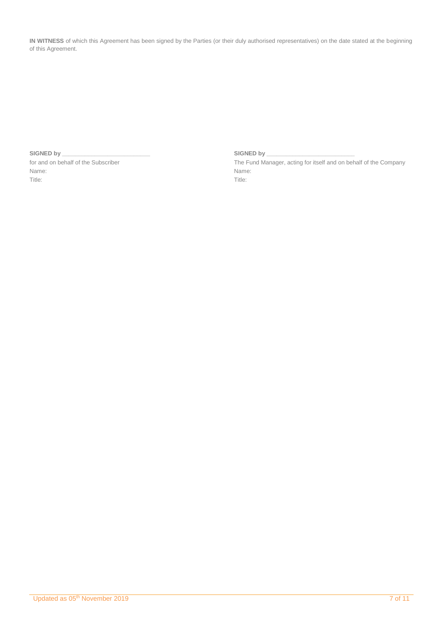**IN WITNESS** of which this Agreement has been signed by the Parties (or their duly authorised representatives) on the date stated at the beginning of this Agreement.

### **SIGNED by \_\_\_\_\_\_\_\_\_\_\_\_\_\_\_\_\_\_\_\_\_\_\_\_\_\_\_ SIGNED by \_\_\_\_\_\_\_\_\_\_\_\_\_\_\_\_\_\_\_\_\_\_\_\_\_\_\_**

Name: Name: Title: Title:

for and on behalf of the Subscriber The Fund Manager, acting for itself and on behalf of the Company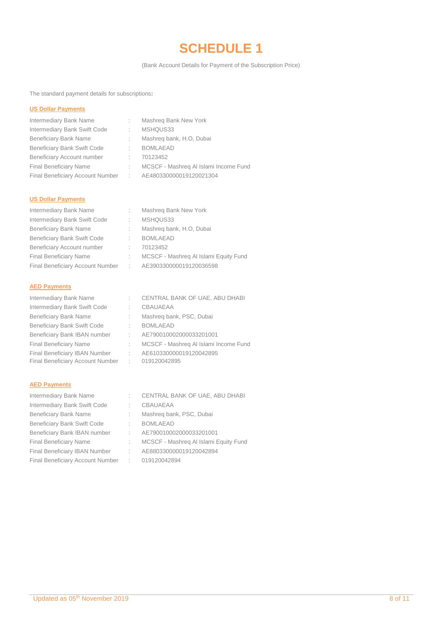# **SCHEDULE 1**

(Bank Account Details for Payment of the Subscription Price)

<span id="page-7-0"></span>The standard payment details for subscriptions**:**

### **US Dollar Payments**

| Intermediary Bank Name             | ÷           | Mashreg Bank New York                 |
|------------------------------------|-------------|---------------------------------------|
| Intermediary Bank Swift Code       |             | MSHQUS33                              |
| <b>Beneficiary Bank Name</b>       |             | Mashreg bank, H.O, Dubai              |
| <b>Beneficiary Bank Swift Code</b> |             | <b>BOMLAEAD</b>                       |
| Beneficiary Account number         |             | 70123452                              |
| <b>Final Beneficiary Name</b>      |             | MCSCF - Mashreg Al Islami Income Fund |
| Final Beneficiary Account Number   | $\sim 1000$ | AE480330000019120021304               |
|                                    |             |                                       |

# **US Dollar Payments**

| D.                                 | Mashreg Bank New York                 |
|------------------------------------|---------------------------------------|
| t.                                 | MSHQUS33                              |
|                                    | Mashreg bank, H.O. Dubai              |
| D.                                 | <b>BOMLAEAD</b>                       |
|                                    | 70123452                              |
|                                    | MCSCF - Mashreg Al Islami Equity Fund |
| Final Beneficiary Account Number : | AE390330000019120036598               |
|                                    |                                       |

## **AED Payments**

| Intermediary Bank Name             |                 | CENTRAL BANK OF UAE, ABU DHABI        |
|------------------------------------|-----------------|---------------------------------------|
| Intermediary Bank Swift Code       |                 | <b>CBAUAEAA</b>                       |
| <b>Beneficiary Bank Name</b>       |                 | Mashreg bank, PSC, Dubai              |
| <b>Beneficiary Bank Swift Code</b> |                 | <b>BOMLAEAD</b>                       |
| Beneficiary Bank IBAN number       |                 | AE790010002000033201001               |
| <b>Final Beneficiary Name</b>      |                 | MCSCF - Mashreg Al Islami Income Fund |
| Final Beneficiary IBAN Number      | D.              | AE610330000019120042895               |
| Final Beneficiary Account Number   | $\sim 10^{-11}$ | 019120042895                          |

# **AED Payments**

| Intermediary Bank Name             |                | CENTRAL BANK OF UAE, ABU DHABI        |
|------------------------------------|----------------|---------------------------------------|
| Intermediary Bank Swift Code       |                | CBAUAEAA                              |
| <b>Beneficiary Bank Name</b>       | ÷.             | Mashreg bank, PSC, Dubai              |
| <b>Beneficiary Bank Swift Code</b> |                | <b>BOMLAEAD</b>                       |
| Beneficiary Bank IBAN number       | <b>COL</b>     | AE790010002000033201001               |
| <b>Final Beneficiary Name</b>      |                | MCSCF - Mashreg Al Islami Equity Fund |
| Final Beneficiary IBAN Number      | $\sim 10^{-1}$ | AE880330000019120042894               |
| Final Beneficiary Account Number   |                | : 019120042894                        |
|                                    |                |                                       |

| CENTRAL BANK OF UAE, ABU DHABI       |
|--------------------------------------|
| CBAUAFAA                             |
| Mashreg bank, PSC, Dubai             |
| BOMI AFAD                            |
| AE790010002000033201001              |
| MCSCF - Mashreg Al Islami Equity Fun |
| AF880330000019120042894              |
| 019120042894                         |
|                                      |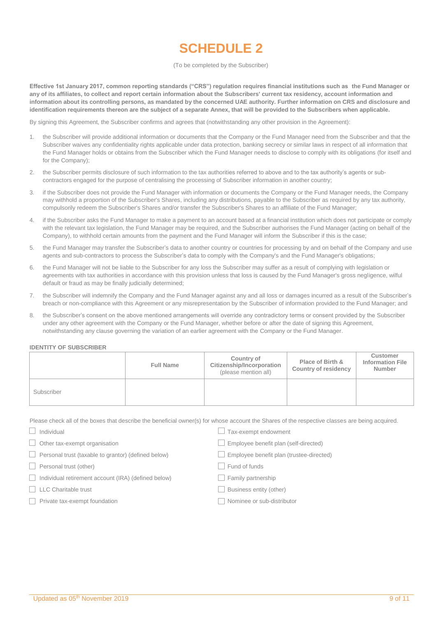# **SCHEDULE 2**

#### (To be completed by the Subscriber)

<span id="page-8-0"></span>**Effective 1st January 2017, common reporting standards ("CRS") regulation requires financial institutions such as the Fund Manager or any of its affiliates, to collect and report certain information about the Subscribers' current tax residency, account information and information about its controlling persons, as mandated by the concerned UAE authority. Further information on CRS and disclosure and identification requirements thereon are the subject of a separate Annex, that will be provided to the Subscribers when applicable.** 

By signing this Agreement, the Subscriber confirms and agrees that (notwithstanding any other provision in the Agreement):

- 1. the Subscriber will provide additional information or documents that the Company or the Fund Manager need from the Subscriber and that the Subscriber waives any confidentiality rights applicable under data protection, banking secrecy or similar laws in respect of all information that the Fund Manager holds or obtains from the Subscriber which the Fund Manager needs to disclose to comply with its obligations (for itself and for the Company);
- 2. the Subscriber permits disclosure of such information to the tax authorities referred to above and to the tax authority's agents or subcontractors engaged for the purpose of centralising the processing of Subscriber information in another country;
- 3. if the Subscriber does not provide the Fund Manager with information or documents the Company or the Fund Manager needs, the Company may withhold a proportion of the Subscriber's Shares, including any distributions, payable to the Subscriber as required by any tax authority, compulsorily redeem the Subscriber's Shares and/or transfer the Subscriber's Shares to an affiliate of the Fund Manager;
- 4. if the Subscriber asks the Fund Manager to make a payment to an account based at a financial institution which does not participate or comply with the relevant tax legislation, the Fund Manager may be required, and the Subscriber authorises the Fund Manager (acting on behalf of the Company), to withhold certain amounts from the payment and the Fund Manager will inform the Subscriber if this is the case;
- 5. the Fund Manager may transfer the Subscriber's data to another country or countries for processing by and on behalf of the Company and use agents and sub-contractors to process the Subscriber's data to comply with the Company's and the Fund Manager's obligations;
- 6. the Fund Manager will not be liable to the Subscriber for any loss the Subscriber may suffer as a result of complying with legislation or agreements with tax authorities in accordance with this provision unless that loss is caused by the Fund Manager's gross negligence, wilful default or fraud as may be finally judicially determined;
- 7. the Subscriber will indemnify the Company and the Fund Manager against any and all loss or damages incurred as a result of the Subscriber's breach or non-compliance with this Agreement or any misrepresentation by the Subscriber of information provided to the Fund Manager; and
- 8. the Subscriber's consent on the above mentioned arrangements will override any contradictory terms or consent provided by the Subscriber under any other agreement with the Company or the Fund Manager, whether before or after the date of signing this Agreement, notwithstanding any clause governing the variation of an earlier agreement with the Company or the Fund Manager.

#### **IDENTITY OF SUBSCRIBER**

|            | <b>Full Name</b> | Country of<br>Citizenship/Incorporation<br>(please mention all) | Place of Birth &<br>Country of residency | <b>Customer</b><br><b>Information File</b><br>Number |
|------------|------------------|-----------------------------------------------------------------|------------------------------------------|------------------------------------------------------|
| Subscriber |                  |                                                                 |                                          |                                                      |

Please check all of the boxes that describe the beneficial owner(s) for whose account the Shares of the respective classes are being acquired.

 $\Box$  Individual Individual Individual Individual Individual Individual Individual Individual Individual Individual Individual Individual Individual Individual Individual Individual Individual Individual Individual Individ  $\Box$  Other tax-exempt organisation  $\Box$  Employee benefit plan (self-directed) Personal trust (taxable to grantor) (defined below) Employee benefit plan (trustee-directed) □ Personal trust (other) The Contraction of Fund of funds □ Individual retirement account (IRA) (defined below) □ Family partnership □ LLC Charitable trust Business entity (other) Private tax-exempt foundation Nominee or sub-distributor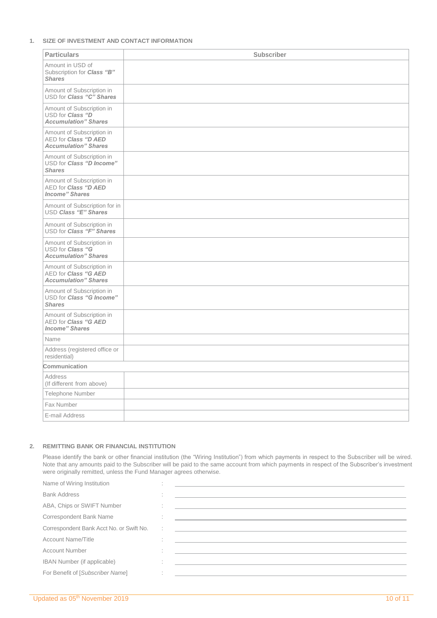### **1. SIZE OF INVESTMENT AND CONTACT INFORMATION**

| <b>Particulars</b>                                                                | <b>Subscriber</b> |
|-----------------------------------------------------------------------------------|-------------------|
| Amount in USD of<br>Subscription for Class "B"<br><b>Shares</b>                   |                   |
| Amount of Subscription in<br>USD for Class "C" Shares                             |                   |
| Amount of Subscription in<br>USD for Class "D<br><b>Accumulation" Shares</b>      |                   |
| Amount of Subscription in<br>AED for Class "D AED<br><b>Accumulation</b> " Shares |                   |
| Amount of Subscription in<br>USD for Class "D Income"<br><b>Shares</b>            |                   |
| Amount of Subscription in<br>AED for Class "D AED<br><b>Income</b> " Shares       |                   |
| Amount of Subscription for in<br>USD Class "E" Shares                             |                   |
| Amount of Subscription in<br>USD for Class "F" Shares                             |                   |
| Amount of Subscription in<br>USD for Class "G<br><b>Accumulation</b> " Shares     |                   |
| Amount of Subscription in<br>AED for Class "G AED<br><b>Accumulation</b> " Shares |                   |
| Amount of Subscription in<br>USD for Class "G Income"<br><b>Shares</b>            |                   |
| Amount of Subscription in<br>AED for Class "G AED<br><b>Income</b> " Shares       |                   |
| Name                                                                              |                   |
| Address (registered office or<br>residential)                                     |                   |
| Communication                                                                     |                   |
| <b>Address</b><br>(If different from above)                                       |                   |
| <b>Telephone Number</b>                                                           |                   |
| Fax Number                                                                        |                   |
| E-mail Address                                                                    |                   |

## **2. REMITTING BANK OR FINANCIAL INSTITUTION**

Please identify the bank or other financial institution (the "Wiring Institution") from which payments in respect to the Subscriber will be wired. Note that any amounts paid to the Subscriber will be paid to the same account from which payments in respect of the Subscriber's investment were originally remitted, unless the Fund Manager agrees otherwise.

| Name of Wiring Institution               |  |                                                                                                                       |
|------------------------------------------|--|-----------------------------------------------------------------------------------------------------------------------|
| <b>Bank Address</b>                      |  |                                                                                                                       |
| ABA, Chips or SWIFT Number               |  |                                                                                                                       |
| Correspondent Bank Name                  |  |                                                                                                                       |
| Correspondent Bank Acct No. or Swift No. |  | <u> 1989 - Andrea State Barbara, amerikan personal di sebagai personal di sebagai personal di sebagai personal di</u> |
| <b>Account Name/Title</b>                |  |                                                                                                                       |
| <b>Account Number</b>                    |  |                                                                                                                       |
| <b>IBAN Number (if applicable)</b>       |  |                                                                                                                       |
| For Benefit of [Subscriber Name]         |  |                                                                                                                       |